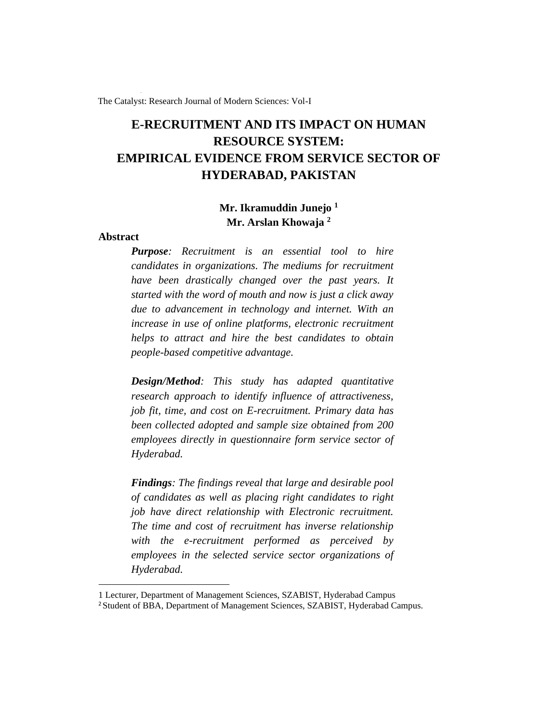The Catalyst: Research Journal of Modern Sciences: Vol-I

# **E-RECRUITMENT AND ITS IMPACT ON HUMAN RESOURCE SYSTEM: EMPIRICAL EVIDENCE FROM SERVICE SECTOR OF HYDERABAD, PAKISTAN**

# **Mr. Ikramuddin Junejo <sup>1</sup> Mr. Arslan Khowaja <sup>2</sup>**

### **Abstract**

*Purpose: Recruitment is an essential tool to hire candidates in organizations. The mediums for recruitment have been drastically changed over the past years. It started with the word of mouth and now is just a click away due to advancement in technology and internet. With an increase in use of online platforms, electronic recruitment helps to attract and hire the best candidates to obtain people-based competitive advantage.* 

*Design/Method: This study has adapted quantitative research approach to identify influence of attractiveness, job fit, time, and cost on E-recruitment. Primary data has been collected adopted and sample size obtained from 200 employees directly in questionnaire form service sector of Hyderabad.* 

*Findings: The findings reveal that large and desirable pool of candidates as well as placing right candidates to right job have direct relationship with Electronic recruitment. The time and cost of recruitment has inverse relationship with the e-recruitment performed as perceived by employees in the selected service sector organizations of Hyderabad.* 

<sup>1</sup> Lecturer, Department of Management Sciences, SZABIST, Hyderabad Campus <sup>2</sup> Student of BBA, Department of Management Sciences, SZABIST, Hyderabad Campus.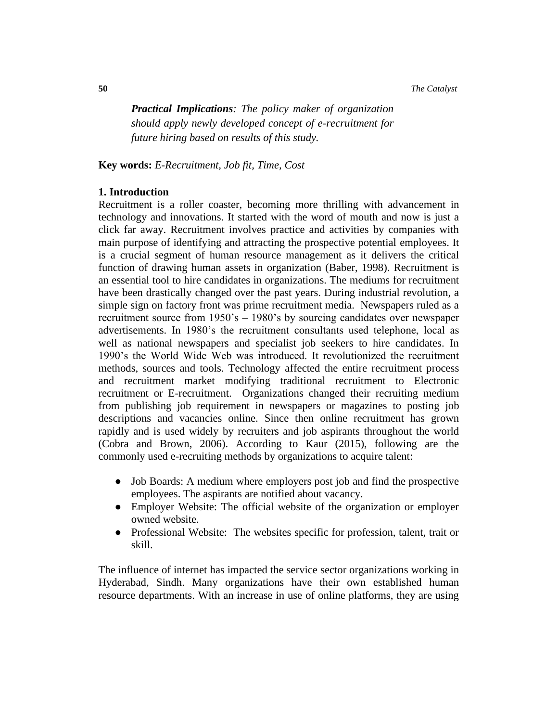**50** *The Catalyst*

**Key words:** *E-Recruitment, Job fit, Time, Cost*

### **1. Introduction**

Recruitment is a roller coaster, becoming more thrilling with advancement in technology and innovations. It started with the word of mouth and now is just a click far away. Recruitment involves practice and activities by companies with main purpose of identifying and attracting the prospective potential employees. It is a crucial segment of human resource management as it delivers the critical function of drawing human assets in organization (Baber, 1998). Recruitment is an essential tool to hire candidates in organizations. The mediums for recruitment have been drastically changed over the past years. During industrial revolution, a simple sign on factory front was prime recruitment media. Newspapers ruled as a recruitment source from 1950's – 1980's by sourcing candidates over newspaper advertisements. In 1980's the recruitment consultants used telephone, local as well as national newspapers and specialist job seekers to hire candidates. In 1990's the World Wide Web was introduced. It revolutionized the recruitment methods, sources and tools. Technology affected the entire recruitment process and recruitment market modifying traditional recruitment to Electronic recruitment or E-recruitment. Organizations changed their recruiting medium from publishing job requirement in newspapers or magazines to posting job descriptions and vacancies online. Since then online recruitment has grown rapidly and is used widely by recruiters and job aspirants throughout the world (Cobra and Brown, 2006). According to Kaur (2015), following are the commonly used e-recruiting methods by organizations to acquire talent:

- Job Boards: A medium where employers post job and find the prospective employees. The aspirants are notified about vacancy.
- Employer Website: The official website of the organization or employer owned website.
- Professional Website: The websites specific for profession, talent, trait or skill.

The influence of internet has impacted the service sector organizations working in Hyderabad, Sindh. Many organizations have their own established human resource departments. With an increase in use of online platforms, they are using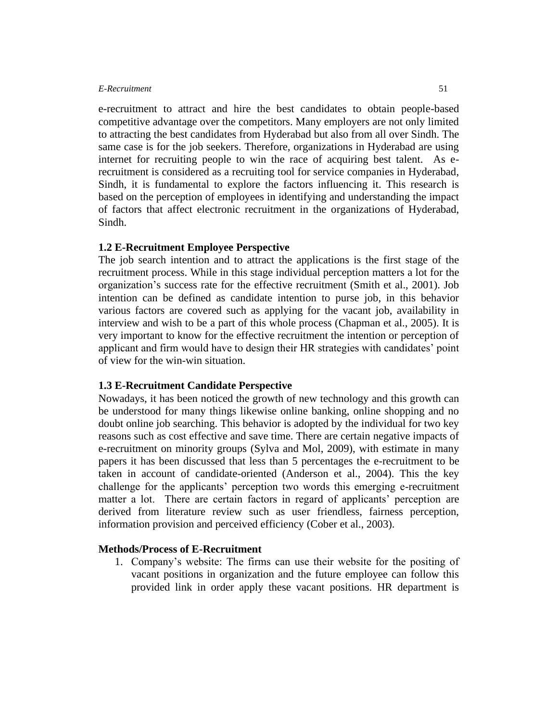e-recruitment to attract and hire the best candidates to obtain people-based competitive advantage over the competitors. Many employers are not only limited to attracting the best candidates from Hyderabad but also from all over Sindh. The same case is for the job seekers. Therefore, organizations in Hyderabad are using internet for recruiting people to win the race of acquiring best talent. As erecruitment is considered as a recruiting tool for service companies in Hyderabad, Sindh, it is fundamental to explore the factors influencing it. This research is based on the perception of employees in identifying and understanding the impact of factors that affect electronic recruitment in the organizations of Hyderabad, Sindh.

### **1.2 E-Recruitment Employee Perspective**

The job search intention and to attract the applications is the first stage of the recruitment process. While in this stage individual perception matters a lot for the organization's success rate for the effective recruitment (Smith et al., 2001). Job intention can be defined as candidate intention to purse job, in this behavior various factors are covered such as applying for the vacant job, availability in interview and wish to be a part of this whole process (Chapman et al., 2005). It is very important to know for the effective recruitment the intention or perception of applicant and firm would have to design their HR strategies with candidates' point of view for the win-win situation.

# **1.3 E-Recruitment Candidate Perspective**

Nowadays, it has been noticed the growth of new technology and this growth can be understood for many things likewise online banking, online shopping and no doubt online job searching. This behavior is adopted by the individual for two key reasons such as cost effective and save time. There are certain negative impacts of e-recruitment on minority groups (Sylva and Mol, 2009), with estimate in many papers it has been discussed that less than 5 percentages the e-recruitment to be taken in account of candidate-oriented (Anderson et al., 2004). This the key challenge for the applicants' perception two words this emerging e-recruitment matter a lot. There are certain factors in regard of applicants' perception are derived from literature review such as user friendless, fairness perception, information provision and perceived efficiency (Cober et al., 2003).

### **Methods/Process of E-Recruitment**

1. Company's website: The firms can use their website for the positing of vacant positions in organization and the future employee can follow this provided link in order apply these vacant positions. HR department is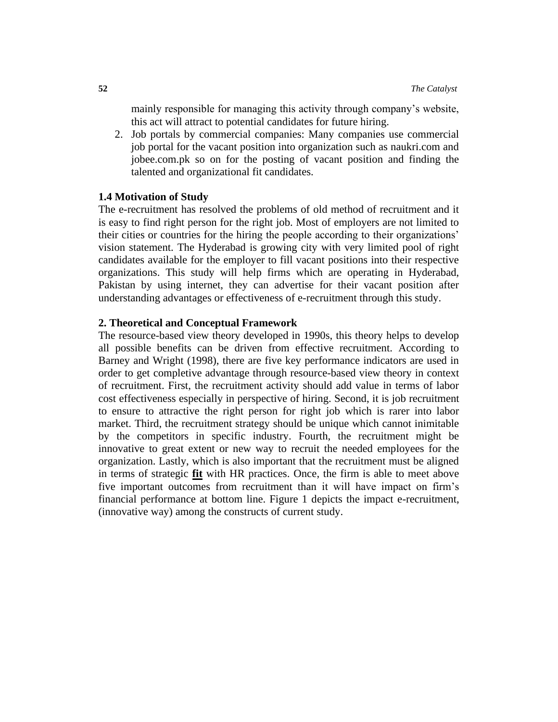mainly responsible for managing this activity through company's website, this act will attract to potential candidates for future hiring.

2. Job portals by commercial companies: Many companies use commercial job portal for the vacant position into organization such as naukri.com and jobee.com.pk so on for the posting of vacant position and finding the talented and organizational fit candidates.

### **1.4 Motivation of Study**

The e-recruitment has resolved the problems of old method of recruitment and it is easy to find right person for the right job. Most of employers are not limited to their cities or countries for the hiring the people according to their organizations' vision statement. The Hyderabad is growing city with very limited pool of right candidates available for the employer to fill vacant positions into their respective organizations. This study will help firms which are operating in Hyderabad, Pakistan by using internet, they can advertise for their vacant position after understanding advantages or effectiveness of e-recruitment through this study.

### **2. Theoretical and Conceptual Framework**

The resource-based view theory developed in 1990s, this theory helps to develop all possible benefits can be driven from effective recruitment. According to Barney and Wright (1998), there are five key performance indicators are used in order to get completive advantage through resource-based view theory in context of recruitment. First, the recruitment activity should add value in terms of labor cost effectiveness especially in perspective of hiring. Second, it is job recruitment to ensure to attractive the right person for right job which is rarer into labor market. Third, the recruitment strategy should be unique which cannot inimitable by the competitors in specific industry. Fourth, the recruitment might be innovative to great extent or new way to recruit the needed employees for the organization. Lastly, which is also important that the recruitment must be aligned in terms of strategic **fit** with HR practices. Once, the firm is able to meet above five important outcomes from recruitment than it will have impact on firm's financial performance at bottom line. Figure 1 depicts the impact e-recruitment, (innovative way) among the constructs of current study.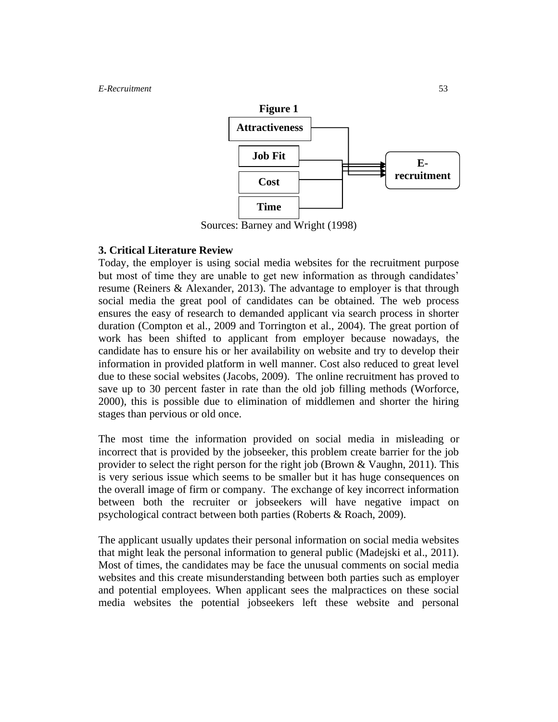

Sources: Barney and Wright (1998)

# **3. Critical Literature Review**

Today, the employer is using social media websites for the recruitment purpose but most of time they are unable to get new information as through candidates' resume (Reiners & Alexander, 2013). The advantage to employer is that through social media the great pool of candidates can be obtained. The web process ensures the easy of research to demanded applicant via search process in shorter duration (Compton et al., 2009 and Torrington et al., 2004). The great portion of work has been shifted to applicant from employer because nowadays, the candidate has to ensure his or her availability on website and try to develop their information in provided platform in well manner. Cost also reduced to great level due to these social websites (Jacobs, 2009). The online recruitment has proved to save up to 30 percent faster in rate than the old job filling methods (Worforce, 2000), this is possible due to elimination of middlemen and shorter the hiring stages than pervious or old once.

The most time the information provided on social media in misleading or incorrect that is provided by the jobseeker, this problem create barrier for the job provider to select the right person for the right job (Brown & Vaughn, 2011). This is very serious issue which seems to be smaller but it has huge consequences on the overall image of firm or company. The exchange of key incorrect information between both the recruiter or jobseekers will have negative impact on psychological contract between both parties (Roberts & Roach, 2009).

The applicant usually updates their personal information on social media websites that might leak the personal information to general public (Madejski et al., 2011). Most of times, the candidates may be face the unusual comments on social media websites and this create misunderstanding between both parties such as employer and potential employees. When applicant sees the malpractices on these social media websites the potential jobseekers left these website and personal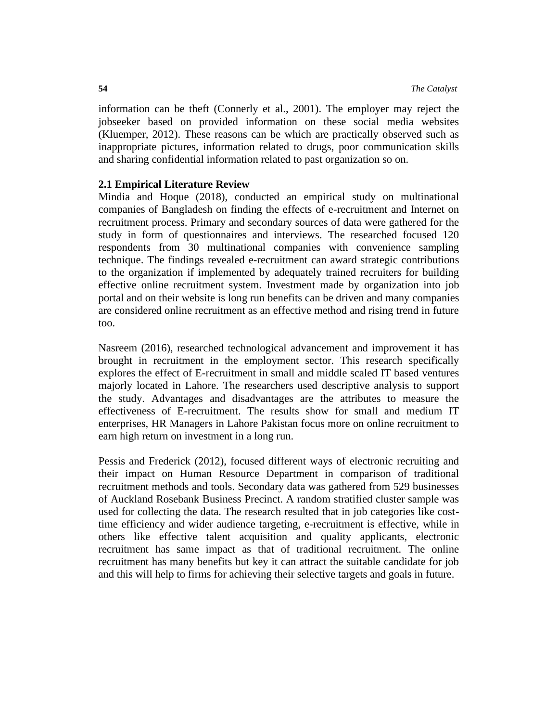information can be theft (Connerly et al., 2001). The employer may reject the jobseeker based on provided information on these social media websites (Kluemper, 2012). These reasons can be which are practically observed such as inappropriate pictures, information related to drugs, poor communication skills and sharing confidential information related to past organization so on.

### **2.1 Empirical Literature Review**

Mindia and Hoque (2018), conducted an empirical study on multinational companies of Bangladesh on finding the effects of e-recruitment and Internet on recruitment process. Primary and secondary sources of data were gathered for the study in form of questionnaires and interviews. The researched focused 120 respondents from 30 multinational companies with convenience sampling technique. The findings revealed e-recruitment can award strategic contributions to the organization if implemented by adequately trained recruiters for building effective online recruitment system. Investment made by organization into job portal and on their website is long run benefits can be driven and many companies are considered online recruitment as an effective method and rising trend in future too.

Nasreem (2016), researched technological advancement and improvement it has brought in recruitment in the employment sector. This research specifically explores the effect of E-recruitment in small and middle scaled IT based ventures majorly located in Lahore. The researchers used descriptive analysis to support the study. Advantages and disadvantages are the attributes to measure the effectiveness of E-recruitment. The results show for small and medium IT enterprises, HR Managers in Lahore Pakistan focus more on online recruitment to earn high return on investment in a long run.

Pessis and Frederick (2012), focused different ways of electronic recruiting and their impact on Human Resource Department in comparison of traditional recruitment methods and tools. Secondary data was gathered from 529 businesses of Auckland Rosebank Business Precinct. A random stratified cluster sample was used for collecting the data. The research resulted that in job categories like costtime efficiency and wider audience targeting, e-recruitment is effective, while in others like effective talent acquisition and quality applicants, electronic recruitment has same impact as that of traditional recruitment. The online recruitment has many benefits but key it can attract the suitable candidate for job and this will help to firms for achieving their selective targets and goals in future.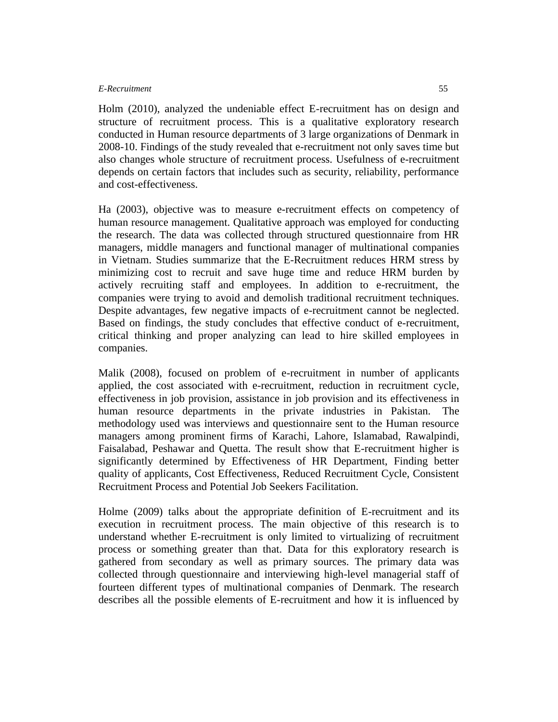Holm (2010), analyzed the undeniable effect E-recruitment has on design and structure of recruitment process. This is a qualitative exploratory research conducted in Human resource departments of 3 large organizations of Denmark in 2008-10. Findings of the study revealed that e-recruitment not only saves time but also changes whole structure of recruitment process. Usefulness of e-recruitment depends on certain factors that includes such as security, reliability, performance and cost-effectiveness.

Ha (2003), objective was to measure e-recruitment effects on competency of human resource management. Qualitative approach was employed for conducting the research. The data was collected through structured questionnaire from HR managers, middle managers and functional manager of multinational companies in Vietnam. Studies summarize that the E-Recruitment reduces HRM stress by minimizing cost to recruit and save huge time and reduce HRM burden by actively recruiting staff and employees. In addition to e-recruitment, the companies were trying to avoid and demolish traditional recruitment techniques. Despite advantages, few negative impacts of e-recruitment cannot be neglected. Based on findings, the study concludes that effective conduct of e-recruitment, critical thinking and proper analyzing can lead to hire skilled employees in companies.

Malik (2008), focused on problem of e-recruitment in number of applicants applied, the cost associated with e-recruitment, reduction in recruitment cycle, effectiveness in job provision, assistance in job provision and its effectiveness in human resource departments in the private industries in Pakistan. The methodology used was interviews and questionnaire sent to the Human resource managers among prominent firms of Karachi, Lahore, Islamabad, Rawalpindi, Faisalabad, Peshawar and Quetta. The result show that E-recruitment higher is significantly determined by Effectiveness of HR Department, Finding better quality of applicants, Cost Effectiveness, Reduced Recruitment Cycle, Consistent Recruitment Process and Potential Job Seekers Facilitation.

Holme (2009) talks about the appropriate definition of E-recruitment and its execution in recruitment process. The main objective of this research is to understand whether E-recruitment is only limited to virtualizing of recruitment process or something greater than that. Data for this exploratory research is gathered from secondary as well as primary sources. The primary data was collected through questionnaire and interviewing high-level managerial staff of fourteen different types of multinational companies of Denmark. The research describes all the possible elements of E-recruitment and how it is influenced by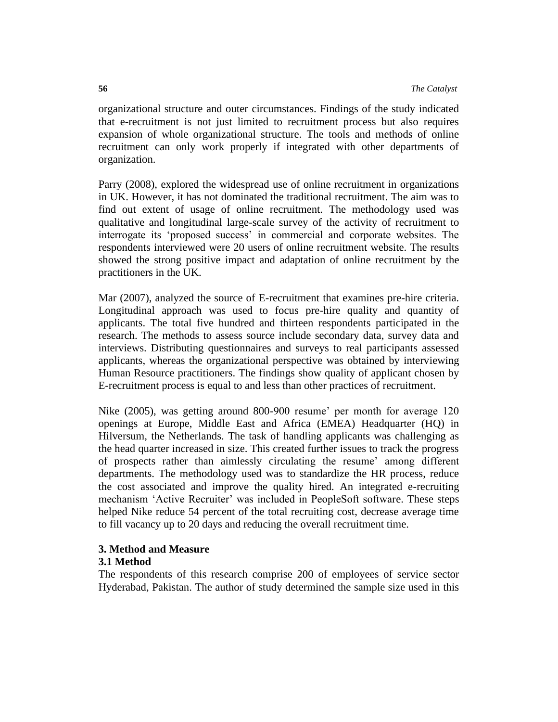organizational structure and outer circumstances. Findings of the study indicated that e-recruitment is not just limited to recruitment process but also requires expansion of whole organizational structure. The tools and methods of online recruitment can only work properly if integrated with other departments of organization.

Parry (2008), explored the widespread use of online recruitment in organizations in UK. However, it has not dominated the traditional recruitment. The aim was to find out extent of usage of online recruitment. The methodology used was qualitative and longitudinal large-scale survey of the activity of recruitment to interrogate its 'proposed success' in commercial and corporate websites. The respondents interviewed were 20 users of online recruitment website. The results showed the strong positive impact and adaptation of online recruitment by the practitioners in the UK.

Mar (2007), analyzed the source of E-recruitment that examines pre-hire criteria. Longitudinal approach was used to focus pre-hire quality and quantity of applicants. The total five hundred and thirteen respondents participated in the research. The methods to assess source include secondary data, survey data and interviews. Distributing questionnaires and surveys to real participants assessed applicants, whereas the organizational perspective was obtained by interviewing Human Resource practitioners. The findings show quality of applicant chosen by E-recruitment process is equal to and less than other practices of recruitment.

Nike (2005), was getting around 800-900 resume' per month for average 120 openings at Europe, Middle East and Africa (EMEA) Headquarter (HQ) in Hilversum, the Netherlands. The task of handling applicants was challenging as the head quarter increased in size. This created further issues to track the progress of prospects rather than aimlessly circulating the resume' among different departments. The methodology used was to standardize the HR process, reduce the cost associated and improve the quality hired. An integrated e-recruiting mechanism 'Active Recruiter' was included in PeopleSoft software. These steps helped Nike reduce 54 percent of the total recruiting cost, decrease average time to fill vacancy up to 20 days and reducing the overall recruitment time.

# **3. Method and Measure**

# **3.1 Method**

The respondents of this research comprise 200 of employees of service sector Hyderabad, Pakistan. The author of study determined the sample size used in this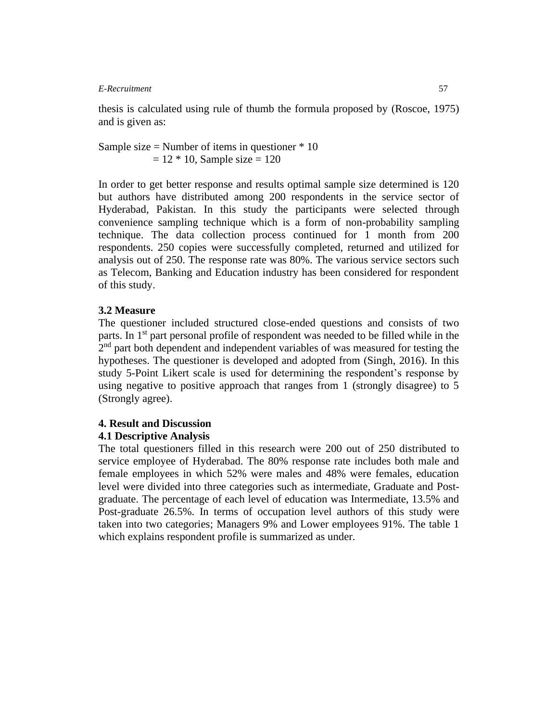thesis is calculated using rule of thumb the formula proposed by (Roscoe, 1975) and is given as:

Sample size  $=$  Number of items in questioner  $*$  10  $= 12 * 10$ , Sample size  $= 120$ 

In order to get better response and results optimal sample size determined is 120 but authors have distributed among 200 respondents in the service sector of Hyderabad, Pakistan. In this study the participants were selected through convenience sampling technique which is a form of non-probability sampling technique. The data collection process continued for 1 month from 200 respondents. 250 copies were successfully completed, returned and utilized for analysis out of 250. The response rate was 80%. The various service sectors such as Telecom, Banking and Education industry has been considered for respondent of this study.

# **3.2 Measure**

The questioner included structured close-ended questions and consists of two parts. In 1<sup>st</sup> part personal profile of respondent was needed to be filled while in the  $2<sup>nd</sup>$  part both dependent and independent variables of was measured for testing the hypotheses. The questioner is developed and adopted from (Singh, 2016). In this study 5-Point Likert scale is used for determining the respondent's response by using negative to positive approach that ranges from 1 (strongly disagree) to 5 (Strongly agree).

# **4. Result and Discussion**

# **4.1 Descriptive Analysis**

The total questioners filled in this research were 200 out of 250 distributed to service employee of Hyderabad. The 80% response rate includes both male and female employees in which 52% were males and 48% were females, education level were divided into three categories such as intermediate, Graduate and Postgraduate. The percentage of each level of education was Intermediate, 13.5% and Post-graduate 26.5%. In terms of occupation level authors of this study were taken into two categories; Managers 9% and Lower employees 91%. The table 1 which explains respondent profile is summarized as under.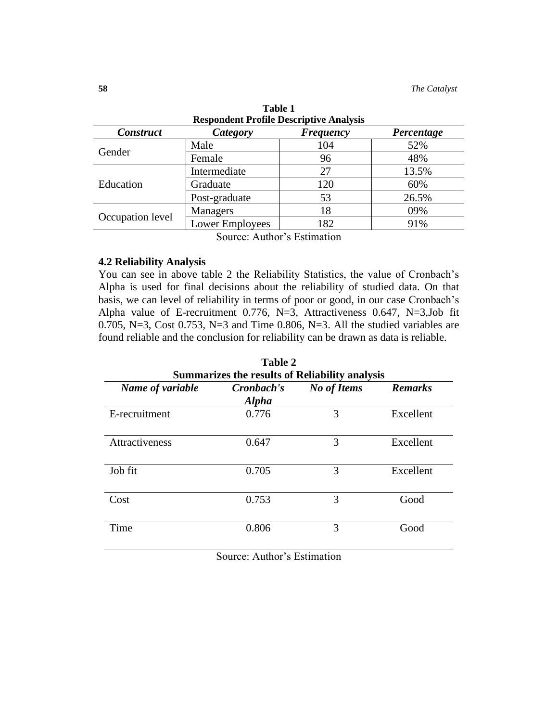| Respondent Profile Descriptive Analysis |                        |                  |            |  |  |
|-----------------------------------------|------------------------|------------------|------------|--|--|
| <b>Construct</b>                        | Category               | <b>Frequency</b> | Percentage |  |  |
| Gender                                  | Male                   | 104              | 52%        |  |  |
|                                         | Female                 | 96               | 48%        |  |  |
| Education                               | Intermediate           | 27               | 13.5%      |  |  |
|                                         | Graduate               | 120              | 60%        |  |  |
|                                         | Post-graduate          | 53               | 26.5%      |  |  |
| Occupation level                        | <b>Managers</b>        | 18               | 09%        |  |  |
|                                         | <b>Lower Employees</b> | 182              | 91%        |  |  |
| Source: Author's Estimation             |                        |                  |            |  |  |

**Table 1 Respondent Profile Descriptive Analysis**

# **4.2 Reliability Analysis**

You can see in above table 2 the Reliability Statistics, the value of Cronbach's Alpha is used for final decisions about the reliability of studied data. On that basis, we can level of reliability in terms of poor or good, in our case Cronbach's Alpha value of E-recruitment 0.776, N=3, Attractiveness 0.647, N=3, Job fit 0.705, N=3, Cost 0.753, N=3 and Time 0.806, N=3. All the studied variables are found reliable and the conclusion for reliability can be drawn as data is reliable.

|                                                       | <b>Table 2</b>             |             |                |  |  |  |
|-------------------------------------------------------|----------------------------|-------------|----------------|--|--|--|
| <b>Summarizes the results of Reliability analysis</b> |                            |             |                |  |  |  |
| Name of variable                                      | Cronbach's<br><b>Alpha</b> | No of Items | <b>Remarks</b> |  |  |  |
| E-recruitment                                         | 0.776                      | 3           | Excellent      |  |  |  |
| <b>Attractiveness</b>                                 | 0.647                      | 3           | Excellent      |  |  |  |
| Job fit                                               | 0.705                      | 3           | Excellent      |  |  |  |
| Cost                                                  | 0.753                      | 3           | Good           |  |  |  |
| Time                                                  | 0.806                      | 3           | Good           |  |  |  |

Source: Author's Estimation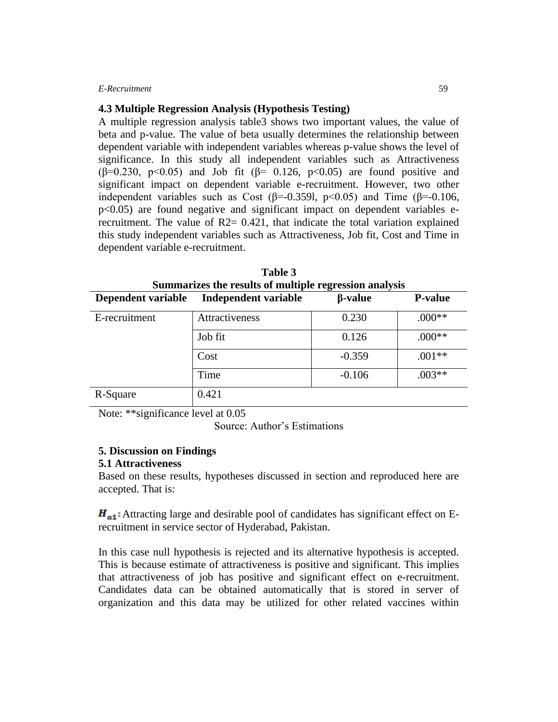### **4.3 Multiple Regression Analysis (Hypothesis Testing)**

A multiple regression analysis table3 shows two important values, the value of beta and p-value. The value of beta usually determines the relationship between dependent variable with independent variables whereas p-value shows the level of significance. In this study all independent variables such as Attractiveness ( $\beta$ =0.230, p<0.05) and Job fit ( $\beta$ = 0.126, p<0.05) are found positive and significant impact on dependent variable e-recruitment. However, two other independent variables such as Cost ( $\beta$ =-0.359l, p<0.05) and Time ( $\beta$ =-0.106, p<0.05) are found negative and significant impact on dependent variables erecruitment. The value of  $R2 = 0.421$ , that indicate the total variation explained this study independent variables such as Attractiveness, Job fit, Cost and Time in dependent variable e-recruitment.

| Summarizes the results of multiple regression analysis |                      |                |                |  |  |
|--------------------------------------------------------|----------------------|----------------|----------------|--|--|
| Dependent variable                                     | Independent variable | $\beta$ -value | <b>P-value</b> |  |  |
| E-recruitment                                          | Attractiveness       | 0.230          | $.000**$       |  |  |
|                                                        | Job fit              | 0.126          | $.000**$       |  |  |
|                                                        | Cost                 | $-0.359$       | $.001**$       |  |  |
|                                                        | Time                 | $-0.106$       | $.003**$       |  |  |
| R-Square                                               | 0.421                |                |                |  |  |

**Table 3 Summarizes the results of multiple regression analysis**

Note: \*\*significance level at 0.05

Source: Author's Estimations

# **5. Discussion on Findings**

### **5.1 Attractiveness**

Based on these results, hypotheses discussed in section and reproduced here are accepted. That is:

 $H_{a1}$ : Attracting large and desirable pool of candidates has significant effect on Erecruitment in service sector of Hyderabad, Pakistan.

In this case null hypothesis is rejected and its alternative hypothesis is accepted. This is because estimate of attractiveness is positive and significant. This implies that attractiveness of job has positive and significant effect on e-recruitment. Candidates data can be obtained automatically that is stored in server of organization and this data may be utilized for other related vaccines within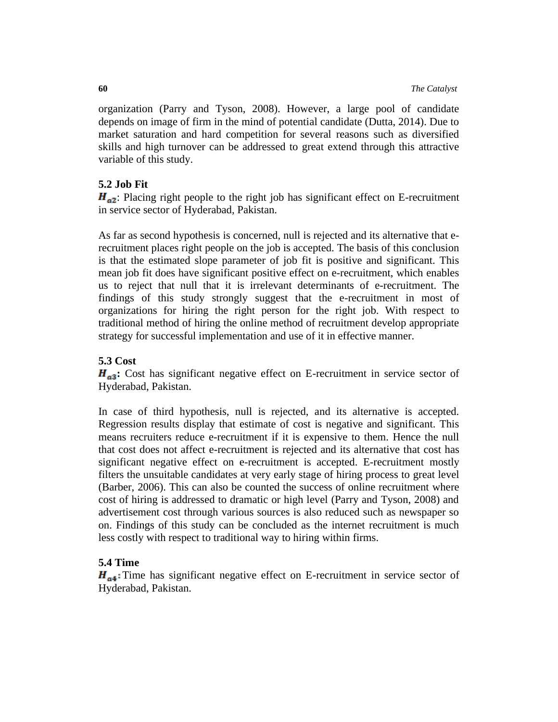organization (Parry and Tyson, 2008). However, a large pool of candidate depends on image of firm in the mind of potential candidate (Dutta, 2014). Due to market saturation and hard competition for several reasons such as diversified skills and high turnover can be addressed to great extend through this attractive variable of this study.

# **5.2 Job Fit**

 $H_{a2}$ : Placing right people to the right job has significant effect on E-recruitment in service sector of Hyderabad, Pakistan.

As far as second hypothesis is concerned, null is rejected and its alternative that erecruitment places right people on the job is accepted. The basis of this conclusion is that the estimated slope parameter of job fit is positive and significant. This mean job fit does have significant positive effect on e-recruitment, which enables us to reject that null that it is irrelevant determinants of e-recruitment. The findings of this study strongly suggest that the e-recruitment in most of organizations for hiring the right person for the right job. With respect to traditional method of hiring the online method of recruitment develop appropriate strategy for successful implementation and use of it in effective manner.

# **5.3 Cost**

 $H_{a3}$ **:** Cost has significant negative effect on E-recruitment in service sector of Hyderabad, Pakistan.

In case of third hypothesis, null is rejected, and its alternative is accepted. Regression results display that estimate of cost is negative and significant. This means recruiters reduce e-recruitment if it is expensive to them. Hence the null that cost does not affect e-recruitment is rejected and its alternative that cost has significant negative effect on e-recruitment is accepted. E-recruitment mostly filters the unsuitable candidates at very early stage of hiring process to great level (Barber, 2006). This can also be counted the success of online recruitment where cost of hiring is addressed to dramatic or high level (Parry and Tyson, 2008) and advertisement cost through various sources is also reduced such as newspaper so on. Findings of this study can be concluded as the internet recruitment is much less costly with respect to traditional way to hiring within firms.

# **5.4 Time**

 $H_{a4}$ : Time has significant negative effect on E-recruitment in service sector of Hyderabad, Pakistan.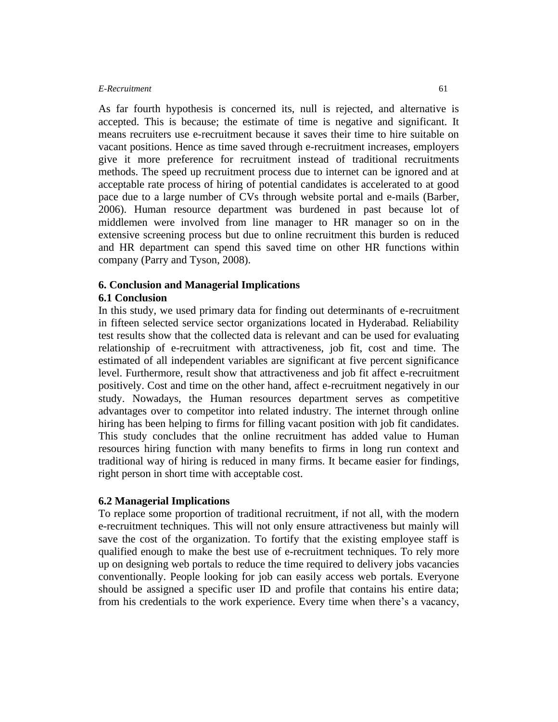As far fourth hypothesis is concerned its, null is rejected, and alternative is accepted. This is because; the estimate of time is negative and significant. It means recruiters use e-recruitment because it saves their time to hire suitable on vacant positions. Hence as time saved through e-recruitment increases, employers give it more preference for recruitment instead of traditional recruitments methods. The speed up recruitment process due to internet can be ignored and at acceptable rate process of hiring of potential candidates is accelerated to at good pace due to a large number of CVs through website portal and e-mails (Barber, 2006). Human resource department was burdened in past because lot of middlemen were involved from line manager to HR manager so on in the extensive screening process but due to online recruitment this burden is reduced and HR department can spend this saved time on other HR functions within company (Parry and Tyson, 2008).

# **6. Conclusion and Managerial Implications**

# **6.1 Conclusion**

In this study, we used primary data for finding out determinants of e-recruitment in fifteen selected service sector organizations located in Hyderabad. Reliability test results show that the collected data is relevant and can be used for evaluating relationship of e-recruitment with attractiveness, job fit, cost and time. The estimated of all independent variables are significant at five percent significance level. Furthermore, result show that attractiveness and job fit affect e-recruitment positively. Cost and time on the other hand, affect e-recruitment negatively in our study. Nowadays, the Human resources department serves as competitive advantages over to competitor into related industry. The internet through online hiring has been helping to firms for filling vacant position with job fit candidates. This study concludes that the online recruitment has added value to Human resources hiring function with many benefits to firms in long run context and traditional way of hiring is reduced in many firms. It became easier for findings, right person in short time with acceptable cost.

### **6.2 Managerial Implications**

To replace some proportion of traditional recruitment, if not all, with the modern e-recruitment techniques. This will not only ensure attractiveness but mainly will save the cost of the organization. To fortify that the existing employee staff is qualified enough to make the best use of e-recruitment techniques. To rely more up on designing web portals to reduce the time required to delivery jobs vacancies conventionally. People looking for job can easily access web portals. Everyone should be assigned a specific user ID and profile that contains his entire data; from his credentials to the work experience. Every time when there's a vacancy,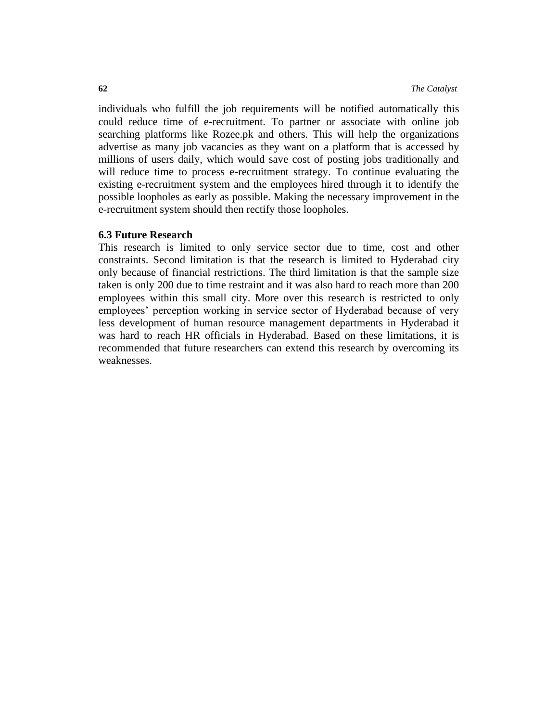individuals who fulfill the job requirements will be notified automatically this could reduce time of e-recruitment. To partner or associate with online job searching platforms like Rozee.pk and others. This will help the organizations advertise as many job vacancies as they want on a platform that is accessed by millions of users daily, which would save cost of posting jobs traditionally and will reduce time to process e-recruitment strategy. To continue evaluating the existing e-recruitment system and the employees hired through it to identify the possible loopholes as early as possible. Making the necessary improvement in the e-recruitment system should then rectify those loopholes.

### **6.3 Future Research**

This research is limited to only service sector due to time, cost and other constraints. Second limitation is that the research is limited to Hyderabad city only because of financial restrictions. The third limitation is that the sample size taken is only 200 due to time restraint and it was also hard to reach more than 200 employees within this small city. More over this research is restricted to only employees' perception working in service sector of Hyderabad because of very less development of human resource management departments in Hyderabad it was hard to reach HR officials in Hyderabad. Based on these limitations, it is recommended that future researchers can extend this research by overcoming its weaknesses.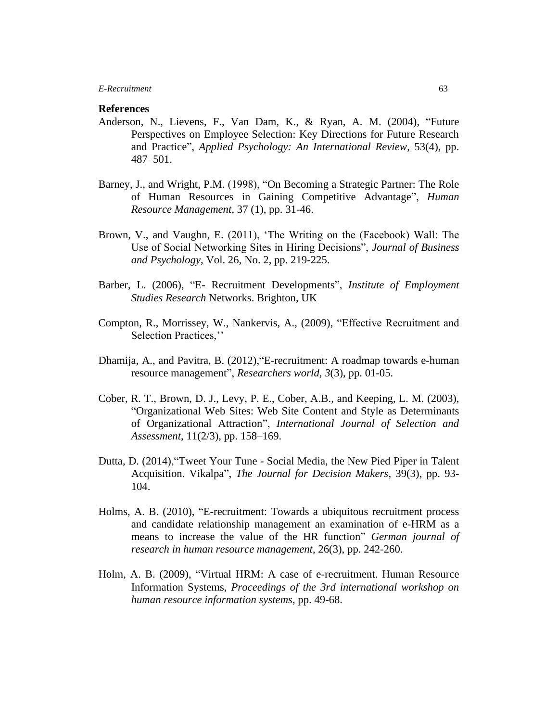### **References**

- Anderson, N., Lievens, F., Van Dam, K., & Ryan, A. M. (2004), "Future Perspectives on Employee Selection: Key Directions for Future Research and Practice", *Applied Psychology: An International Review*, 53(4), pp. 487–501.
- Barney, J., and Wright, P.M. (1998), "On Becoming a Strategic Partner: The Role of Human Resources in Gaining Competitive Advantage", *Human Resource Management,* 37 (1), pp. 31-46.
- Brown, V., and Vaughn, E. (2011), 'The Writing on the (Facebook) Wall: The Use of Social Networking Sites in Hiring Decisions", *Journal of Business and Psychology*, Vol. 26, No. 2, pp. 219-225.
- Barber, L. (2006), "E- Recruitment Developments", *Institute of Employment Studies Research* Networks. Brighton, UK
- Compton, R., Morrissey, W., Nankervis, A., (2009), "Effective Recruitment and Selection Practices,''
- Dhamija, A., and Pavitra, B. (2012),"E-recruitment: A roadmap towards e-human resource management", *Researchers world, 3*(3), pp. 01-05.
- Cober, R. T., Brown, D. J., Levy, P. E., Cober, A.B., and Keeping, L. M. (2003), "Organizational Web Sites: Web Site Content and Style as Determinants of Organizational Attraction", *International Journal of Selection and Assessment*, 11(2/3), pp. 158–169.
- Dutta, D. (2014),"Tweet Your Tune Social Media, the New Pied Piper in Talent Acquisition. Vikalpa", *The Journal for Decision Makers*, 39(3), pp. 93- 104.
- Holms, A. B. (2010), "E-recruitment: Towards a ubiquitous recruitment process and candidate relationship management an examination of e-HRM as a means to increase the value of the HR function" *German journal of research in human resource management*, 26(3), pp. 242-260.
- Holm, A. B. (2009), "Virtual HRM: A case of e-recruitment. Human Resource Information Systems, *Proceedings of the 3rd international workshop on human resource information systems*, pp. 49-68.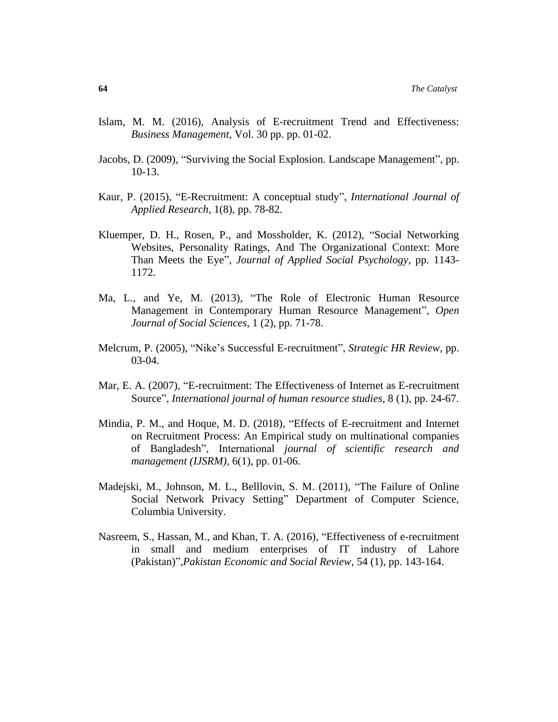- Islam, M. M. (2016), Analysis of E-recruitment Trend and Effectiveness: *Business Management*, Vol. 30 pp. pp. 01-02.
- Jacobs, D. (2009), "Surviving the Social Explosion. Landscape Management", pp. 10-13.
- Kaur, P. (2015), "E-Recruitment: A conceptual study", *International Journal of Applied Research*, 1(8), pp. 78-82.
- Kluemper, D. H., Rosen, P., and Mossholder, K. (2012), "Social Networking Websites, Personality Ratings, And The Organizational Context: More Than Meets the Eye", *Journal of Applied Social Psychology*, pp. 1143- 1172.
- Ma, L., and Ye, M. (2013), "The Role of Electronic Human Resource Management in Contemporary Human Resource Management", *Open Journal of Social Sciences*, 1 (2), pp. 71-78.
- Melcrum, P. (2005), "Nike's Successful E-recruitment", *Strategic HR Review,* pp. 03-04.
- Mar, E. A. (2007), "E-recruitment: The Effectiveness of Internet as E-recruitment Source", *International journal of human resource studies*, 8 (1), pp. 24-67.
- Mindia, P. M., and Hoque, M. D. (2018), "Effects of E-recruitment and Internet on Recruitment Process: An Empirical study on multinational companies of Bangladesh", International *journal of scientific research and management (IJSRM),* 6(1), pp. 01-06.
- Madejski, M., Johnson, M. L., Belllovin, S. M. (2011), "The Failure of Online Social Network Privacy Setting" Department of Computer Science, Columbia University.
- Nasreem, S., Hassan, M., and Khan, T. A. (2016), "Effectiveness of e-recruitment in small and medium enterprises of IT industry of Lahore (Pakistan)",*Pakistan Economic and Social Review*, 54 (1), pp. 143-164.